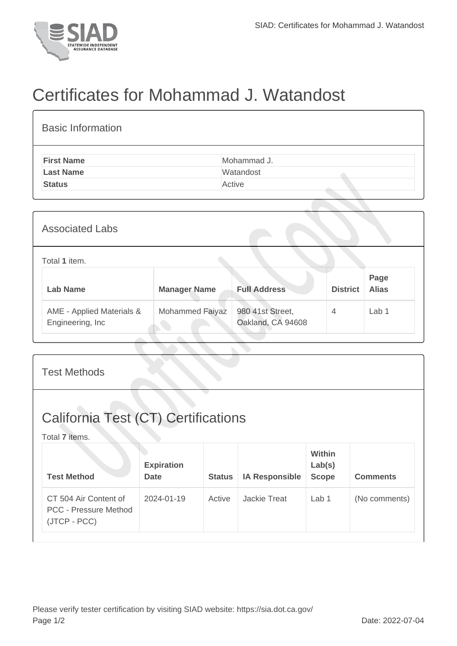

## Certificates for Mohammad J. Watandost

| <b>First Name</b>      |                     | Mohammad J.         |                 |                      |  |
|------------------------|---------------------|---------------------|-----------------|----------------------|--|
| <b>Last Name</b>       |                     | Watandost           |                 |                      |  |
| <b>Status</b>          |                     | Active              |                 |                      |  |
|                        |                     |                     |                 |                      |  |
| <b>Associated Labs</b> |                     |                     |                 |                      |  |
| Total 1 item.          |                     |                     |                 |                      |  |
| <b>Lab Name</b>        | <b>Manager Name</b> | <b>Full Address</b> | <b>District</b> | Page<br><b>Alias</b> |  |

| <b>Test Methods</b>                                                   |                                  |               |                       |                                  |                 |  |  |
|-----------------------------------------------------------------------|----------------------------------|---------------|-----------------------|----------------------------------|-----------------|--|--|
| <b>California Test (CT) Certifications</b><br>Total 7 items.          |                                  |               |                       |                                  |                 |  |  |
| <b>Test Method</b>                                                    | <b>Expiration</b><br><b>Date</b> | <b>Status</b> | <b>IA Responsible</b> | Within<br>Lab(s)<br><b>Scope</b> | <b>Comments</b> |  |  |
| CT 504 Air Content of<br><b>PCC - Pressure Method</b><br>(JTCP - PCC) | 2024-01-19                       | Active        | Jackie Treat          | Lab <sub>1</sub>                 | (No comments)   |  |  |